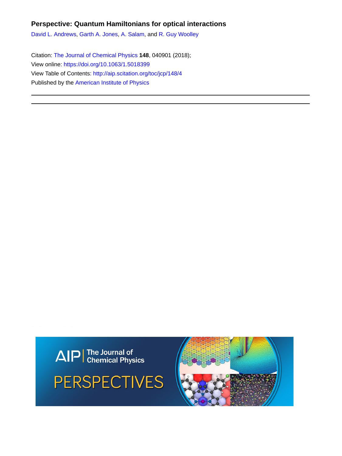# **Perspective: Quantum Hamiltonians for optical interactions**

[David L. Andrews,](http://aip.scitation.org/author/Andrews%2C+David+L) [Garth A. Jones,](http://aip.scitation.org/author/Jones%2C+Garth+A) [A. Salam,](http://aip.scitation.org/author/Salam%2C+A) and [R. Guy Woolley](http://aip.scitation.org/author/Woolley%2C+R+Guy)

Citation: [The Journal of Chemical Physics](/loi/jcp) **148**, 040901 (2018); View online: <https://doi.org/10.1063/1.5018399> View Table of Contents: <http://aip.scitation.org/toc/jcp/148/4> Published by the [American Institute of Physics](http://aip.scitation.org/publisher/)





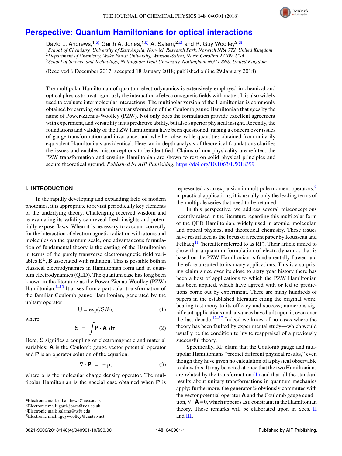

# **[Perspective: Quantum Hamiltonians for optical interactions](https://doi.org/10.1063/1.5018399)**

David L. Andrews,<sup>1[,a\)](#page-1-0)</sup> Garth A. Jones,<sup>1[,b\)](#page-1-1)</sup> A. Salam,<sup>2[,c\)](#page-1-2)</sup> and R. Guy Woolley<sup>3[,d\)](#page-1-3)</sup> *School of Chemistry, University of East Anglia, Norwich Research Park, Norwich NR4 7TJ, United Kingdom Department of Chemistry, Wake Forest University, Winston-Salem, North Carolina 27109, USA School of Science and Technology, Nottingham Trent University, Nottingham NG11 8NS, United Kingdom*

(Received 6 December 2017; accepted 18 January 2018; published online 29 January 2018)

The multipolar Hamiltonian of quantum electrodynamics is extensively employed in chemical and optical physics to treat rigorously the interaction of electromagnetic fields with matter. It is also widely used to evaluate intermolecular interactions. The multipolar version of the Hamiltonian is commonly obtained by carrying out a unitary transformation of the Coulomb gauge Hamiltonian that goes by the name of Power-Zienau-Woolley (PZW). Not only does the formulation provide excellent agreement with experiment, and versatility in its predictive ability, but also superior physical insight. Recently, the foundations and validity of the PZW Hamiltonian have been questioned, raising a concern over issues of gauge transformation and invariance, and whether observable quantities obtained from unitarily equivalent Hamiltonians are identical. Here, an in-depth analysis of theoretical foundations clarifies the issues and enables misconceptions to be identified. Claims of non-physicality are refuted: the PZW transformation and ensuing Hamiltonian are shown to rest on solid physical principles and secure theoretical ground. *Published by AIP Publishing.* <https://doi.org/10.1063/1.5018399>

### **I. INTRODUCTION**

In the rapidly developing and expanding field of modern photonics, it is appropriate to revisit periodically key elements of the underlying theory. Challenging received wisdom and re-evaluating its validity can reveal fresh insights and potentially expose flaws. When it is necessary to account correctly for the interaction of electromagnetic radiation with atoms and molecules on the quantum scale, one advantageous formulation of fundamental theory is the casting of the Hamiltonian in terms of the purely transverse electromagnetic field variables  $\mathbf{E}^{\perp}$ , **B** associated with radiation. This is possible both in classical electrodynamics in Hamiltonian form and in quantum electrodynamics (QED). The quantum case has long been known in the literature as the Power-Zienau-Woolley (PZW) Hamiltonian. $1-10$  $1-10$  It arises from a particular transformation of the familiar Coulomb gauge Hamiltonian, generated by the unitary operator

<span id="page-1-4"></span>
$$
U = \exp(iS/\hbar), \tag{1}
$$

where

$$
S = \int \mathbf{P} \cdot \mathbf{A} \, d\tau. \tag{2}
$$

Here, S signifies a coupling of electromagnetic and material variables: **A** is the Coulomb gauge vector potential operator and **P** is an operator solution of the equation,

<span id="page-1-5"></span>
$$
\nabla \cdot \mathbf{P} = -\rho, \tag{3}
$$

where  $\rho$  is the molecular charge density operator. The multipolar Hamiltonian is the special case obtained when **P** is represented as an expansion in multipole moment operators; $\frac{2}{3}$  $\frac{2}{3}$  $\frac{2}{3}$ in practical applications, it is usually only the leading terms of the multipole series that need to be retained.

In this perspective, we address several misconceptions recently raised in the literature regarding this multipolar form of the QED Hamiltonian, widely used in atomic, molecular, and optical physics, and theoretical chemistry. These issues have resurfaced as the focus of a recent paper by Rousseau and Felbacq<sup>[11](#page-9-3)</sup> (hereafter referred to as RF). Their article aimed to show that a quantum formulation of electrodynamics that is based on the PZW Hamiltonian is fundamentally flawed and therefore unsuited to its many applications. This is a surprising claim since over its close to sixty year history there has been a host of applications to which the PZW Hamiltonian has been applied, which have agreed with or led to predictions borne out by experiment. There are many hundreds of papers in the established literature citing the original work, bearing testimony to its efficacy and success; numerous significant applications and advances have built upon it, even over the last decade.<sup>[12–](#page-9-4)[37](#page-9-5)</sup> Indeed we know of no cases where the theory has been faulted by experimental study—which would usually be the condition to invite reappraisal of a previously successful theory.

Specifically, RF claim that the Coulomb gauge and multipolar Hamiltonians "predict different physical results," even though they have given no calculation of a physical observable to show this. It may be noted at once that the two Hamiltonians are related by the transformation [\(1\)](#page-1-4) and that all the standard results about unitary transformations in quantum mechanics apply; furthermore, the generator S obviously commutes with the vector potential operator **A** and the Coulomb gauge condition,  $\nabla \cdot \mathbf{A} = 0$ , which appears as a constraint in the Hamiltonian theory. These remarks will be elaborated upon in Secs. [II](#page-2-0) and [III.](#page-5-0)

<span id="page-1-0"></span>a)Electronic mail: [d.l.andrews@uea.ac.uk](mailto:d.l.andrews@uea.ac.uk)

<span id="page-1-1"></span>b)Electronic mail: [garth.jones@uea.ac.uk](mailto:garth.jones@uea.ac.uk)

<span id="page-1-2"></span>c)Electronic mail: [salama@wfu.edu](mailto:salama@wfu.edu)

<span id="page-1-3"></span>d)Electronic mail: [rguywoolley@cantab.net](mailto:rguywoolley@cantab.net)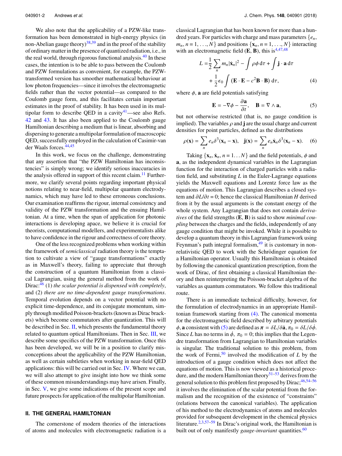We also note that the applicability of a PZW-like transformation has been demonstrated in high-energy physics (in non-Abelian gauge theory)<sup>[38](#page-9-6)[,39](#page-9-7)</sup> and in the proof of the stability of ordinary matter in the presence of quantized radiation, i.e., in the real world, through rigorous functional analysis.<sup>[40](#page-9-8)</sup> In these cases, the intention is to be able to pass between the Coulomb and PZW formulations as convenient, for example, the PZWtransformed version has smoother mathematical behaviour at low photon frequencies—since it involves the electromagnetic fields rather than the vector potential—as compared to the Coulomb gauge form, and this facilitates certain important estimates in the proof of stability. It has been used in its multipolar form to describe QED in a cavity $41$ —see also Refs. [42](#page-9-10) and [43.](#page-9-11) It has also been applied to the Coulomb gauge Hamiltonian describing a medium that is linear, absorbing and dispersing to generate a multipolar formulation of macroscopic QED, successfully employed in the calculation of Casimir-van der Waals forces.[44,](#page-9-12)[45](#page-9-13)

In this work, we focus on the challenge, demonstrating that any assertion that "the PZW Hamiltonian has inconsistencies" is simply wrong; we identify serious inaccuracies in the analysis offered in support of this recent claim.<sup>[11](#page-9-3)</sup> Furthermore, we clarify several points regarding important physical notions relating to near-field, multipolar quantum electrodynamics, which may have led to these erroneous conclusions. Our examination reaffirms the rigour, internal consistency and validity of the PZW transformation and the ensuing Hamiltonian. At a time, when the span of application for photonic interactions is developing apace, we believe it is crucial for theorists, computational modellers, and experimentalists alike to have confidence in the rigour and correctness of core theory.

One of the less recognized problems when working within the framework of *semiclassical* radiation theory is the temptation to cultivate a view of "gauge transformations" exactly as in Maxwell's theory, failing to appreciate that through the construction of a quantum Hamiltonian from a classical Lagrangian, using the general method from the work of Dirac:<sup>[46](#page-9-14)</sup> (1) *the scalar potential is dispensed with completely*, and (2) *there are no time-dependent gauge transformations*. Temporal evolution depends on a vector potential with no explicit time-dependence, and its conjugate momentum, simply through modified Poisson-brackets (known as Dirac brackets) which become commutators after quantization. This will be described in Sec. [II,](#page-2-0) which presents the fundamental theory related to quantum optical Hamiltonians. Then in Sec. [III,](#page-5-0) we describe some specifics of the PZW transformation. Once this has been developed, we will be in a position to clarify misconceptions about the applicability of the PZW Hamiltonian, as well as certain subtleties when working in near-field QED applications: this will be carried out in Sec. [IV.](#page-7-0) Where we can, we will also attempt to give insight into how we think some of these common misunderstandings may have arisen. Finally, in Sec. [V,](#page-8-0) we give some indications of the present scope and future prospects for application of the multipolar Hamiltonian.

### <span id="page-2-0"></span>**II. THE GENERAL HAMILTONIAN**

The cornerstone of modern theories of the interactions of atoms and molecules with electromagnetic radiation is a classical Lagrangian that has been known for more than a hundred years. For particles with charge and mass parameters {*en*,  $m_n$ ,  $n = 1, \ldots, N$  and positions  $\{x_n, n = 1, \ldots, N\}$  interacting with an electromagnetic field  $(E, B)$ , this is<sup>4[,47,](#page-9-16)[48](#page-9-17)</sup>

$$
L = \frac{1}{2} \sum_{n} m_{n} |\dot{\mathbf{x}}_{n}|^{2} - \int \rho \phi \, d\tau + \int \mathbf{j} \cdot \mathbf{a} \, d\tau
$$

$$
+ \frac{1}{2} \epsilon_{0} \int (\mathbf{E} \cdot \mathbf{E} - c^{2} \mathbf{B} \cdot \mathbf{B}) \, d\tau, \tag{4}
$$

where  $\phi$ , **a** are field potentials satisfying

<span id="page-2-2"></span><span id="page-2-1"></span>
$$
\mathbf{E} = -\nabla \phi - \frac{\partial \mathbf{a}}{\partial t}, \quad \mathbf{B} = \nabla \wedge \mathbf{a}, \tag{5}
$$

 $\frac{\partial}{\partial t}$ ,  $\frac{\partial}{\partial t}$ ,  $\frac{\partial}{\partial t}$ ,  $\frac{\partial}{\partial t}$ ,  $\frac{\partial}{\partial t}$ ,  $\frac{\partial}{\partial t}$ ,  $\frac{\partial}{\partial t}$ implied). The variables  $\rho$  and **j** are the usual charge and current densities for point particles, defined as the distributions

<span id="page-2-3"></span>
$$
\rho(\mathbf{x}) = \sum_{n} e_n \delta^3(\mathbf{x}_n - \mathbf{x}), \quad \mathbf{j}(\mathbf{x}) = \sum_{n} e_n \dot{\mathbf{x}}_n \delta^3(\mathbf{x}_n - \mathbf{x}). \tag{6}
$$

Taking  $\{x_n, \dot{x}_n, n = 1...N\}$  and the field potentials,  $\phi$  and **a**, as the independent dynamical variables in the Lagrangian function for the interaction of charged particles with a radiation field, and substituting *L* in the Euler-Lagrange equations yields the Maxwell equations and Lorentz force law as the equations of motion. This Lagrangian describes a closed system and ∂*L*/∂*<sup>t</sup>* = 0; hence the classical Hamiltonian *<sup>H</sup>* derived from it by the usual arguments is the constant energy of the whole system. Any Lagrangian that does not contain *derivatives* of the field strengths (**E**, **B**) is said to show *minimal coupling* between the charges and the fields, independently of any gauge condition that might be invoked. While it is possible to develop a quantum theory in this Lagrangian framework using Feynman's path integral formalism,  $49$  it is customary in nonrelativistic QED to work with the Schrödinger equation for a Hamiltonian operator. Usually this Hamiltonian is obtained by following the canonical quantization prescription, from the work of Dirac, of first obtaining a classical Hamiltonian theory and then reinterpreting the Poisson-bracket algebra of the variables as quantum commutators. We follow this traditional route.

There is an immediate technical difficulty, however, for the formulation of electrodynamics in an appropriate Hamiltonian framework starting from  $(4)$ . The canonical momenta for the electromagnetic field described by arbitrary potentials  $\phi$ , **a** consistent with [\(5\)](#page-2-2) are defined as  $\pi = \delta L/\delta \dot{a}$ ,  $\pi_0 = \delta L/\delta \dot{\phi}$ . Since *L* has no terms in  $\dot{\phi}$ ,  $\pi_0 = 0$ ; this implies that the Legendre transformation from Lagrangian to Hamiltonian variables is singular. The traditional solution to this problem, from the work of Fermi,<sup>[50](#page-9-19)</sup> involved the modification of  $L$  by the introduction of a gauge condition which does not affect the equations of motion. This is now viewed as a historical proce-dure, and the modern Hamiltonian theory<sup>[51–](#page-9-20)[53](#page-9-21)</sup> derives from the general solution to this problem first proposed by Dirac; [46,](#page-9-14)[54](#page-9-22)-56 it involves the elimination of the scalar potential from the formalism and the recognition of the existence of "constraints" (relations between the canonical variables). The application of his method to the electrodynamics of atoms and molecules provided for subsequent development in the chemical physics literature.<sup>[2](#page-9-2)[,3](#page-9-24)[,57](#page-9-25)[–59](#page-9-26)</sup> In Dirac's original work, the Hamiltonian is built out of only manifestly *gauge-invariant* quantities.<sup>[60](#page-9-27)</sup>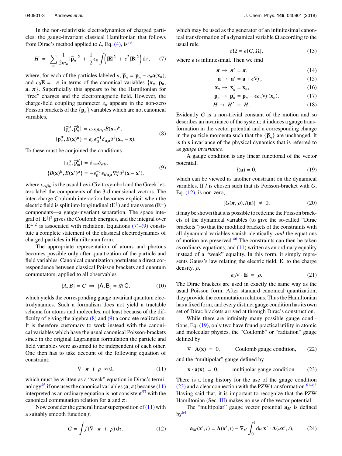In the non-relativistic electrodynamics of charged particles, the gauge-invariant classical Hamiltonian that follows from Dirac's method applied to  $L$ , Eq. [\(4\),](#page-2-1) is<sup>[59](#page-9-26)</sup>

<span id="page-3-0"></span>
$$
H = \sum_{n} \frac{1}{2m_n} |\overline{\mathbf{p}}_n|^2 + \frac{1}{2} \epsilon_0 \int (|\mathbf{E}|^2 + c^2 |\mathbf{B}|^2) d\tau, \qquad (7)
$$

where, for each of the particles labeled *n*,  $\overline{\mathbf{p}}_n = \mathbf{p}_n - e_n \mathbf{a}(\mathbf{x}_n)$ ,  $H = \sum_{n} \frac{1}{2m_n} |\bar{\mathbf{p}}_n|^2 + \frac{1}{2} \epsilon_0 \int (|\mathbf{E}|^2 + c^2 |\mathbf{B}|^2) d\tau$ , (7)<br>where, for each of the particles labeled *n*,  $\bar{\mathbf{p}}_n = \mathbf{p}_n - e_n \mathbf{a}(\mathbf{x}_n)$ ,<br>and  $\epsilon_0 \mathbf{E} = -\pi$  in terms of the canonical variables  $\{\mathbf$ **a**,  $\pi$ . Superficially this appears to be the Hamiltonian for "free" charges and the electromagnetic field. However, the charge-field coupling parameter *e<sup>n</sup>* appears in the non-zero Poisson brackets of the  $\{\bar{p}_n\}$  variables which are not canonical variables,

<span id="page-3-2"></span>
$$
\{\overline{p}_n^{\alpha}, \overline{p}_n^{\beta}\} = e_n \epsilon_{\beta \alpha \mu} B(\mathbf{x}_n)^{\mu},
$$
  

$$
\{\overline{p}_n^{\alpha}, E(\mathbf{x})^{\mu}\} = e_n \epsilon_0^{-1} \delta_{\alpha \mu} \delta^3(\mathbf{x}_n - \mathbf{x}).
$$
 (8)

To these must be conjoined the conditions

<span id="page-3-1"></span>
$$
\{\mathbf{x}_{n}^{\alpha}, \overline{\mathbf{p}}_{m}^{\beta}\} = \delta_{nm}\delta_{\alpha\beta},
$$
  

$$
\{B(\mathbf{x})^{\beta}, E(\mathbf{x}')^{\mu}\} = -\epsilon_{0}^{-1} \epsilon_{\beta\alpha\mu} \nabla_{\mathbf{x}}^{\alpha} \delta^{3}(\mathbf{x} - \mathbf{x}'),
$$
 (9)

where  $\epsilon_{\alpha\beta\mu}$  is the usual Levi-Civita symbol and the Greek letters label the components of the 3-dimensional vectors. The inter-charge Coulomb interaction becomes explicit when the electric field is split into longitudinal ( $\mathbf{E}^{\parallel}$ ) and transverse ( $\mathbf{E}^{\perp}$ ) components—a gauge-invariant separation. The space integral of  $|E^{||}|^2$  gives the Coulomb energies, and the integral over |  $|E^{\perp}|^2$  is associated with radiation. Equations [\(7\)–](#page-3-0)[\(9\)](#page-3-1) constitute a complete statement of the classical electrodynamics of charged particles in Hamiltonian form.

The appropriate representation of atoms and photons becomes possible only after quantization of the particle and field variables. Canonical quantization postulates a direct correspondence between classical Poisson brackets and quantum commutators, applied to all observables

$$
\{A, B\} = C \implies [A, B] = i\hbar \, C,\tag{10}
$$

which yields the corresponding gauge invariant quantum electrodynamics. Such a formalism does not yield a tractable scheme for atoms and molecules, not least because of the difficulty of giving the algebra [\(8\)](#page-3-2) and [\(9\)](#page-3-1) a concrete realization. It is therefore customary to work instead with the canonical variables which have the usual canonical Poisson-brackets since in the original Lagrangian formulation the particle and field variables were assumed to be independent of each other. One then has to take account of the following equation of constraint:

<span id="page-3-3"></span>
$$
\nabla \cdot \pi + \rho \approx 0, \tag{11}
$$

which must be written as a "weak" equation in Dirac's termi-nology<sup>[46](#page-9-14)</sup> if one uses the canonical variables  $(\mathbf{a}, \pi)$  because [\(11\)](#page-3-3) interpreted as an ordinary equation is not consistent<sup>[53](#page-9-21)</sup> with the canonical commutation relation for **<sup>a</sup>** and π.

Now consider the general linear superposition of  $(11)$  with a suitably smooth function *f*,

<span id="page-3-4"></span>
$$
G = \int f(\nabla \cdot \pi + \rho) d\tau, \qquad (12)
$$

which may be used as the generator of an infinitesimal canonical transformation of a dynamical variable  $\Omega$  according to the usual rule

$$
\delta\Omega = \epsilon\{G, \Omega\},\tag{13}
$$

where  $\epsilon$  is infinitesimal. Then we find

$$
\pi \to \pi' = \pi, \tag{14}
$$

$$
\mathbf{a} \to \mathbf{a}' = \mathbf{a} + \epsilon \nabla f,\tag{15}
$$

$$
\mathbf{x}_n \to \mathbf{x}'_n = \mathbf{x}_n,\tag{16}
$$

$$
\mathbf{p}_n \to \mathbf{p}_n' = \mathbf{p}_n - \epsilon e_n \nabla f(\mathbf{x}_n),\tag{17}
$$

$$
H \to H' \equiv H. \tag{18}
$$

Evidently *G* is a non-trivial constant of the motion and so describes an invariance of the system; it induces a gauge transformation in the vector potential and a corresponding change in the particle momenta such that the  ${\{\overline{\mathbf{p}}_n\}}$  are unchanged. It is this invariance of the physical dynamics that is referred to as *gauge invariance*.

A gauge condition is any linear functional of the vector potential,

<span id="page-3-5"></span>
$$
l(\mathbf{a}) = 0,\tag{19}
$$

which can be viewed as another constraint on the dynamical variables. If *l* is chosen such that its Poisson-bracket with *G*, Eq.  $(12)$ , is non-zero,

$$
\{G(\pi,\rho), l(\mathbf{a})\} \neq 0, \tag{20}
$$

it may be shown that it is possible to redefine the Poisson brackets of the dynamical variables (to give the so-called "Dirac brackets") so that the modified brackets of the constraints with all dynamical variables vanish identically, *and* the equations of motion are preserved. $46$  The constraints can then be taken as ordinary equations, and  $(11)$  written as an ordinary equality instead of a "weak" equality. In this form, it simply represents Gauss's law relating the electric field, **E**, to the charge density,  $\rho$ ,

<span id="page-3-8"></span>
$$
\epsilon_0 \nabla \cdot \mathbf{E} = \rho. \tag{21}
$$

The Dirac brackets are used in exactly the same way as the usual Poisson form. After standard canonical quantization, they provide the commutation relations. Thus the Hamiltonian has a fixed form, and every distinct gauge condition has its own set of Dirac brackets arrived at through Dirac's construction.

While there are infinitely many possible gauge conditions, Eq. [\(19\),](#page-3-5) only two have found practical utility in atomic and molecular physics, the "Coulomb" or "radiation" gauge defined by

<span id="page-3-7"></span>
$$
\nabla \cdot \mathbf{A}(\mathbf{x}) = 0, \qquad \text{Coulomb gauge condition,} \qquad (22)
$$

and the "multipolar" gauge defined by

<span id="page-3-6"></span>
$$
\mathbf{x} \cdot \mathbf{a}(\mathbf{x}) = 0, \qquad \text{multipolar gauge condition.} \tag{23}
$$

There is a long history for the use of the gauge condition  $(23)$  and a clear connection with the PZW transformation.<sup>[61](#page-9-28)[–63](#page-9-29)</sup> Having said that, it is important to recognize that the PZW Hamiltonian (Sec. [III\)](#page-5-0) makes no use of the vector potential.

The "multipolar" gauge vector potential  $\mathbf{a}_M$  is defined  $bv^{64}$  $bv^{64}$  $bv^{64}$ 

$$
\mathbf{a}_M(\mathbf{x}',t) = \mathbf{A}(\mathbf{x}',t) - \nabla_{\mathbf{x}'} \int_0^1 \mathrm{d}u \; \mathbf{x}' \cdot \mathbf{A}(u\mathbf{x}',t),\tag{24}
$$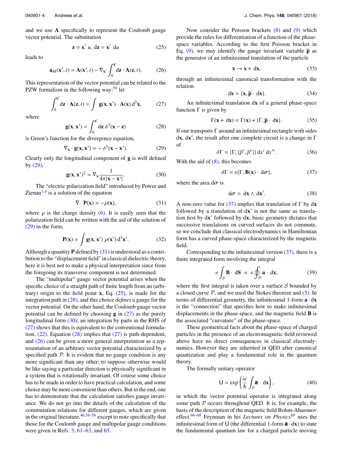and we use **A** specifically to represent the Coulomb gauge vector potential. The substitution

<span id="page-4-2"></span>
$$
\mathbf{z} = \mathbf{x}' \ u, \ \mathbf{dz} = \mathbf{x}' \ \mathbf{du} \tag{25}
$$

leads to

<span id="page-4-6"></span>
$$
\mathbf{a}_M(\mathbf{x}',t) = \mathbf{A}(\mathbf{x}',t) - \nabla_{\mathbf{x}'} \int_0^{\mathbf{x}'} d\mathbf{z} \cdot \mathbf{A}(\mathbf{z},t). \tag{26}
$$

This representation of the vector potential can be related to the PZW formalism in the following way: $59$  let

<span id="page-4-4"></span>
$$
\int_0^{\mathbf{x}'} \mathrm{d}\mathbf{z} \cdot \mathbf{A}(\mathbf{z}, t) = \int \mathbf{g}(\mathbf{x}, \mathbf{x}') \cdot \mathbf{A}(\mathbf{x}) \, \mathrm{d}^3 \mathbf{x},\tag{27}
$$

where

<span id="page-4-3"></span>
$$
\mathbf{g}(\mathbf{x}, \mathbf{x}') = \int_0^{\mathbf{x}'} d\mathbf{z} \; \delta^3(\mathbf{x} - \mathbf{z}) \tag{28}
$$

is Green's function for the divergence equation,

<span id="page-4-5"></span><span id="page-4-0"></span>
$$
\nabla_{\mathbf{x}} \cdot \mathbf{g}(\mathbf{x}, \mathbf{x}') = -\delta^3(\mathbf{x} - \mathbf{x}'). \tag{29}
$$

Clearly only the longitudinal component of **g** is well defined by  $(29)$ ,

$$
\mathbf{g}(\mathbf{x}, \mathbf{x}')^{\parallel} = \nabla_{\mathbf{x}} \frac{1}{4\pi |\mathbf{x} - \mathbf{x}'|}. \tag{30}
$$
  
The "electric polarization field" introduced by Power and

Zienau $<sup>1,4</sup>$  $<sup>1,4</sup>$  $<sup>1,4</sup>$  $<sup>1,4</sup>$  is a solution of the equation</sup>

<span id="page-4-1"></span>
$$
\nabla \cdot \mathbf{P}(\mathbf{x}) = -\rho(\mathbf{x}),\tag{31}
$$

where  $\rho$  is the charge density [\(6\).](#page-2-3) It is easily seen that the polarization field can be written with the aid of the solution of polarization field can be written with the aid of the solution of [\(29\)](#page-4-0) in the form,

<span id="page-4-9"></span>
$$
\mathbf{P}(\mathbf{x}) = \int \mathbf{g}(\mathbf{x}, \mathbf{x}') \, \rho(\mathbf{x}') \, \mathrm{d}^3 \mathbf{x}'. \tag{32}
$$

Although a quantity  $P$  defined by  $(31)$  is understood as a contribution to the "displacement field" in classical dielectric theory, here it is best not to make a physical interpretation since from the foregoing its transverse component is not determined.

The "multipolar" gauge vector potential arises when the specific choice of a straight path of finite length from an (arbitrary) origin to the field point **x**, Eq. [\(25\),](#page-4-2) is made for the integration path in [\(28\),](#page-4-3) and this choice *defines* a gauge for the vector potential. On the other hand, the Coulomb gauge vector potential can be defined by choosing **g** in [\(27\)](#page-4-4) as the purely longitudinal form [\(30\);](#page-4-5) an integration by parts in the RHS of [\(27\)](#page-4-4) shows that this is equivalent to the conventional formulation,  $(22)$ . Equation  $(28)$  implies that  $(27)$  is path-dependent, and [\(26\)](#page-4-6) can be given a more general interpretation as a representation of an arbitrary vector potential characterized by a specified path  $P$ . It is evident that no gauge condition is any more significant than any other; to suppose otherwise would be like saying a particular direction is physically significant in a system that is rotationally invariant. Of course some choice has to be made in order to have practical calculation, and some choice may be more convenient than others. But in the end, one has to demonstrate that the calculation satisfies gauge invariance. We do not go into the details of the calculation of the commutation relations for different gauges, which are given in the original literature, <sup>[46,](#page-9-14)[54](#page-9-22)[–56](#page-9-23)</sup> except to note specifically that those for the Coulomb gauge and multipolar gauge conditions were given in Refs. [3,](#page-9-24) [61–](#page-9-28)[63,](#page-9-29) and [65.](#page-9-31)

Now consider the Poisson brackets [\(8\)](#page-3-2) and [\(9\)](#page-3-1) which provide the rules for differentiation of a function of the phasespace variables. According to the first Poisson bracket in Eq. [\(9\),](#page-3-1) we may identify the gauge invariant variable  $\bar{p}$  as the generator of an infinitesimal translation of the particle

$$
\mathbf{x} \to \mathbf{x} + d\mathbf{x},\tag{33}
$$

through an infinitesimal canonical transformation with the relation

$$
dx = \{x, \overline{p} \cdot dx\}.
$$
 (34)

An infinitesimal translation d**x** of a general phase-space function  $Γ$  is given by

$$
\Gamma(\mathbf{x} + d\mathbf{x}) = \Gamma(\mathbf{x}) + {\Gamma, \overline{\mathbf{p}} \cdot d\mathbf{x}}.
$$
 (35)

If one transports  $\Gamma$  around an infinitesimal rectangle with sides d**x**, d**x**<sup>'</sup>, the result after one complete circuit is a change in Γ of

$$
\delta\Gamma = \{\Gamma, \{\overline{p}^r, \overline{p}^s\}\}\,\mathrm{d}x^r\,\mathrm{d}x'^s. \tag{36}
$$

With the aid of  $(8)$ , this becomes

<span id="page-4-7"></span>
$$
\delta \Gamma = e \{ \Gamma, \mathbf{B}(\mathbf{x}) \cdot d\sigma \},\tag{37}
$$

where the area  $d\sigma$  is

$$
d\sigma = dx \wedge dx'. \qquad (38)
$$

A non-zero value for [\(37\)](#page-4-7) implies that translation of Γ by d**x** followed by a translation of  $dx'$  is not the same as translation first by  $dx'$  followed by  $dx$ ; basic geometry dictates that successive translations on curved surfaces do not commute, so we conclude that classical electrodynamics in Hamiltonian form has a curved phase-space characterized by the magnetic field.

Corresponding to the infinitesimal version [\(37\),](#page-4-7) there is a finite integrated form involving the integral

<span id="page-4-8"></span>
$$
e \int_{\mathcal{S}} \mathbf{B} \cdot d\mathbf{S} = e \oint_{\mathcal{P}} \mathbf{a} \cdot d\mathbf{x}, \tag{39}
$$

where the first integral is taken over a surface  $S$  bounded by a closed curve  $P$ , and we used the Stokes theorem and  $(5)$ . In terms of differential geometry, the infinitesimal 1-form **a** · d**x** is the "connection" that specifies how to make infinitesimal displacements in the phase-space, and the magnetic field **B** is the associated "curvature" of the phase-space.

These geometrical facts about the phase-space of charged particles in the presence of an electromagnetic field reviewed above have no direct consequences in classical electrodynamics. However they are inherited in QED after canonical quantization and play a fundamental role in the quantum theory.

The formally unitary operator

$$
\mathsf{U} = \exp\left(\frac{ie}{\hbar} \int_{\mathcal{P}} \mathbf{a} \cdot \, \mathrm{d}\mathbf{x}\right),\tag{40}
$$

in which the vector potential operator is integrated along some path  $P$  occurs throughout QED. It is, for example, the basis of the description of the magnetic field Bohm-Aharonov effect.<sup>[66](#page-9-32)[–68](#page-9-33)</sup> Feynman in his *Lectures on Physics*<sup>[69](#page-9-34)</sup> uses the infinitesimal form of U (the differential 1-form **a** · d**x**) to state the fundamental quantum law for a charged particle moving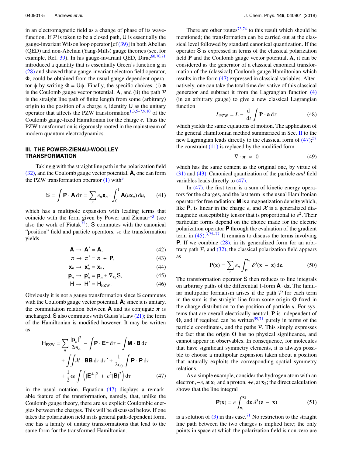in an electromagnetic field as a change of phase of its wavefunction. If  $P$  is taken to be a closed path, U is essentially the gauge-invariant Wilson loop operator [cf [\(39\)\]](#page-4-8) in both Abelian (QED) and non-Abelian (Yang-Mills) gauge theories (see, for example, Ref.  $39$ ). In his gauge-invariant QED, Dirac<sup>[60,](#page-9-27)[70](#page-9-35)[,71](#page-9-36)</sup> introduced a quantity that is essentially Green's function **g** in [\(28\)](#page-4-3) and showed that a gauge-invariant electron field operator, Φ, could be obtained from the usual gauge dependent operator φ by writing Φ = Uφ. Finally, the specific choices, (i) **a** is the Coulomb gauge vector potential,  $\bf{A}$ , and (ii) the path  $\mathcal P$ is the straight line path of finite length from some (arbitrary) origin to the position of a charge  $e$ , identify  $\bigcup$  as the unitary operator that affects the PZW transformation<sup>[1,](#page-9-0)[3](#page-9-24)[,5–](#page-9-37)[7,](#page-9-38)[9](#page-9-39)[,10](#page-9-1)</sup> of the Coulomb gauge-fixed Hamiltonian for the charge *e*. Thus the PZW transformation is rigorously rooted in the mainstream of modern quantum electrodynamics.

### <span id="page-5-0"></span>**III. THE POWER-ZIENAU-WOOLLEY TRANSFORMATION**

Taking **g** with the straight line path in the polarization field [\(32\),](#page-4-9) and the Coulomb gauge vector potential, **A**, one can form the PZW transformation operator  $(1)$  with<sup>[3](#page-9-24)</sup>

<span id="page-5-4"></span>
$$
S = \int \mathbf{P} \cdot \mathbf{A} d\tau = \sum_{n} e_n \mathbf{x}_n \cdot \int_0^1 \mathbf{A}(u\mathbf{x}_n) du, \qquad (41)
$$

which has a multipole expansion with leading terms that coincide with the form given by Power and Zienau $1-3$  $1-3$  (see also the work of Fiutak<sup>[72](#page-9-40)</sup>). S commutes with the canonical "position" field and particle operators, so the transformation yields

$$
\mathbf{A} \rightarrow \mathbf{A}' = \mathbf{A},\tag{42}
$$

$$
\pi \to \pi' = \pi + \mathbf{P},\tag{43}
$$

$$
\mathbf{X}_n \to \mathbf{X}_n' = \mathbf{X}_n,\tag{44}
$$

$$
\mathbf{p}_n \to \ \mathbf{p}_n' = \mathbf{p}_n + \nabla_{\mathbf{x}_n} \mathbf{S},\tag{45}
$$

$$
H \to H' = H_{PZW}.
$$
 (46)

Obviously it is not a gauge transformation since S commutes with the Coulomb gauge vector potential, **A**; since it is unitary, the commutation relation between **A** and its conjugate  $\pi$  is unchanged.  $S$  also commutes with Gauss's Law  $(21)$ ; the form of the Hamiltonian is modified however. It may be written as

$$
H_{PZW} = \sum_{n} \frac{|\mathbf{p}_n|^2}{2m_n} - \int \mathbf{P} \cdot \mathbf{E}^{\perp} d\tau - \int \mathbf{M} \cdot \mathbf{B} d\tau
$$

$$
+ \int \int \mathbf{\mathcal{X}} \cdot \mathbf{B} \mathbf{B} d\tau d\tau' + \frac{1}{2\epsilon_0} \int \mathbf{P} \cdot \mathbf{P} d\tau
$$

$$
+ \frac{1}{2} \epsilon_0 \int \left( |\mathbf{E}^{\perp}|^2 + c^2 |\mathbf{B}|^2 \right) d\tau \tag{47}
$$

in the usual notation. Equation [\(47\)](#page-5-1) displays a remarkable feature of the transformation, namely, that, unlike the Coulomb gauge theory, there are *no* explicit Coulombic energies between the charges. This will be discussed below. If one takes the polarization field in its general path-dependent form, one has a family of unitary transformations that lead to the same form for the transformed Hamiltonian.

There are other routes $73,74$  $73,74$  to this result which should be mentioned; the transformation can be carried out at the classical level followed by standard canonical quantization. If the operator S is expressed in terms of the classical polarization field **P** and the Coulomb gauge vector potential, **A**, it can be considered as the generator of a classical canonical transformation of the (classical) Coulomb gauge Hamiltonian which results in the form [\(47\)](#page-5-1) expressed in classical variables. Alternatively, one can take the total time derivative of this classical generator and subtract it from the Lagrangian function [\(4\)](#page-2-1) (in an arbitrary gauge) to give a new classical Lagrangian function

$$
L_{\text{PZW}} = L - \frac{d}{dt} \int \mathbf{P} \cdot \mathbf{a} \, d\tau \tag{48}
$$

which yields the same equations of motion. The application of the general Hamiltonian method summarized in Sec. [II](#page-2-0) to the new Lagrangian leads directly to the classical form of  $(47)$ ;<sup>[57](#page-9-25)</sup> the constraint  $(11)$  is replaced by the modified form

$$
\nabla \cdot \boldsymbol{\pi} \approx 0 \tag{49}
$$

which has the same content as the original one, by virtue of [\(31\)](#page-4-1) and [\(43\).](#page-5-2) Canonical quantization of the particle *and* field variables leads directly to [\(47\).](#page-5-1)

In [\(47\),](#page-5-1) the first term is a sum of kinetic energy operators for the charges, and the last term is the usual Hamiltonian operator for free radiation: **M** is a magnetization density which, like **P**, is linear in the charge *e*, and  $\mathcal{X}$  is a generalized diamagnetic susceptibility tensor that is proportional to *e* 2 . Their particular forms depend on the choice made for the electric polarization operator **P** through the evaluation of the gradient term in  $(45)$ .<sup>[3](#page-9-24)[,75](#page-9-43)[–77](#page-9-44)</sup> It remains to discuss the terms involving **P**. If we combine [\(28\),](#page-4-3) in its generalized form for an arbitrary path  $P$ , and  $(32)$ , the classical polarization field appears as

<span id="page-5-5"></span>
$$
\mathbf{P}(\mathbf{x}) = \sum_{n} e_n \int_{\mathcal{P}}^{\mathbf{x}_n} \delta^3(\mathbf{x} - \mathbf{z}) d\mathbf{z}.
$$
 (50)

<span id="page-5-3"></span><span id="page-5-2"></span>The transformation operator S then reduces to line integrals on arbitrary paths of the differential 1-form **A** · d**z**. The familiar multipolar formalism arises if the path  $P$  for each term in the sum is the straight line from some origin **O** fixed in the charge distribution to the position of particle *n*. For systems that are overall electrically neutral, **P** is independent of  $\mathbf{O}$ , and if required can be written<sup>[59](#page-9-26)[,71](#page-9-36)</sup> purely in terms of the particle coordinates, and the paths  $P$ . This simply expresses the fact that the origin **O** has no physical significance, and cannot appear in observables. In consequence, for molecules that have significant symmetry elements, it is always possible to choose a multipolar expansion taken about a position that naturally exploits the corresponding spatial symmetry relations.

<span id="page-5-1"></span>As a simple example, consider the hydrogen atom with an electron,  $-e$ , at  $\mathbf{x}_1$  and a proton,  $+e$ , at  $\mathbf{x}_2$ ; the direct calculation shows that the line integral

$$
\mathbf{P}(\mathbf{x}) = e \int_{\mathbf{x}_1}^{\mathbf{x}_2} d\mathbf{z} \; \delta^3(\mathbf{z} - \mathbf{x}) \tag{51}
$$

is a solution of  $(3)$  in this case.<sup>[71](#page-9-36)</sup> No restriction to the straight line path between the two charges is implied here; the only points in space at which the polarization field is non-zero are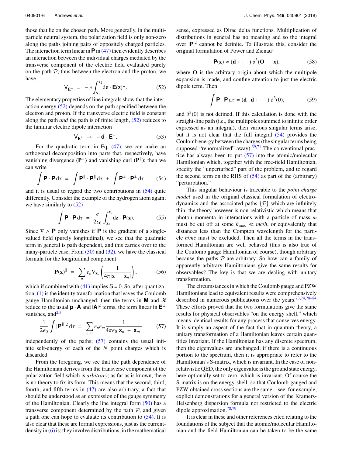those that lie on the chosen path. More generally, in the multiparticle neutral system, the polarization field is only non-zero along the paths joining pairs of oppositely charged particles. The interaction term linear in  $\mathbf{P}$  in [\(47\)](#page-5-1) then evidently describes an interaction between the individual charges mediated by the transverse component of the electric field evaluated purely on the path  $P$ ; thus between the electron and the proton, we have

<span id="page-6-0"></span>
$$
\mathsf{V}_{\mathbf{E}^{\perp}} = -e \int_{\mathbf{x}_1}^{\mathbf{x}_2} d\mathbf{z} \cdot \mathbf{E}(\mathbf{z})^{\perp}.
$$
 (52)

The elementary properties of line integrals show that the interaction energy [\(52\)](#page-6-0) depends on the path specified between the electron and proton. If the transverse electric field is constant along the path *and* the path is of finite length, [\(52\)](#page-6-0) reduces to the familiar electric dipole interaction

$$
V_{E^{\perp}} \rightarrow -\mathbf{d} \cdot \mathbf{E}^{\perp}.
$$
 (53)

For the quadratic term in Eq.  $(47)$ , we can make an orthogonal decomposition into parts that, respectively, have vanishing divergence  $(\mathbf{P}^{\perp})$  and vanishing curl  $(\mathbf{P}^{\parallel})$ ; then we can write

<span id="page-6-1"></span>
$$
\int \mathbf{P} \cdot \mathbf{P} d\tau = \int \mathbf{P}^{\parallel} \cdot \mathbf{P}^{\parallel} d\tau + \int \mathbf{P}^{\perp} \cdot \mathbf{P}^{\perp} d\tau, \qquad (54)
$$

and it is usual to regard the two contributions in [\(54\)](#page-6-1) quite differently. Consider the example of the hydrogen atom again; we have similarly to [\(52\)](#page-6-0)

$$
\int \mathbf{P} \cdot \mathbf{P} d\tau = \frac{e}{2\epsilon_0} \int_{\mathbf{x}_1}^{\mathbf{x}_2} d\mathbf{z} \cdot \mathbf{P}(\mathbf{z}). \tag{55}
$$

Since  $\nabla \wedge \mathbf{P}$  only vanishes if **P** is the gradient of a singlevalued field (purely longitudinal), we see that the quadratic term in general is path dependent, and this carries over to the many-particle case. From  $(30)$  and  $(32)$ , we have the classical formula for the longitudinal component

$$
\mathbf{P}(\mathbf{x})^{\parallel} = \sum_{n} e_n \nabla_{\mathbf{x}_n} \left( \frac{1}{4\pi |\mathbf{x} - \mathbf{x}_n|} \right), \quad (56)
$$

which if combined with  $(41)$  implies  $S = 0$ . So, after quantization, [\(1\)](#page-1-4) is the identity transformation that leaves the Coulomb gauge Hamiltonian unchanged; then the terms in **M** and  $\mathcal{X}$ reduce to the usual  $\mathbf{p} \cdot \mathbf{A}$  and  $|\mathbf{A}|^2$  terms, the term linear in  $\mathbf{E}^{\perp}$ vanishes, and $^{2,3}$  $^{2,3}$  $^{2,3}$  $^{2,3}$ 

<span id="page-6-2"></span>
$$
\frac{1}{2\epsilon_0} \int |\mathbf{P}^{\parallel}|^2 d\tau = \sum_{n,m} e_n e_m \frac{1}{4\pi\epsilon_0 |\mathbf{x}_n - \mathbf{x}_m|} \qquad (57)
$$

independently of the paths;  $(57)$  contains the usual infinite self-energy of each of the *N* point charges which is discarded.

From the foregoing, we see that the path dependence of the Hamiltonian derives from the transverse component of the polarization field which is *arbitrary*; as far as is known, there is no theory to fix its form. This means that the second, third, fourth, and fifth terms in [\(47\)](#page-5-1) are also arbitrary, a fact that should be understood as an expression of the gauge symmetry of the Hamiltonian. Clearly the line integral form [\(50\)](#page-5-5) has a transverse component determined by the path  $P$ , and given a path one can hope to evaluate its contribution to [\(54\).](#page-6-1) It is also clear that these are formal expressions, just as the currentdensity in  $(6)$  is; they involve distributions, in the mathematical sense, expressed as Dirac delta functions. Multiplication of distributions in general has no meaning and so the integral over |**P**| 2 cannot be definite. To illustrate this, consider the original formulation of Power and Zienau<sup>[1](#page-9-0)</sup>

<span id="page-6-3"></span>
$$
\mathbf{P}(\mathbf{x}) \approx (\mathbf{d} + \cdots) \, \delta^3(\mathbf{O} - \mathbf{x}), \tag{58}
$$

where **O** is the arbitrary origin about which the multipole expansion is made, and confine attention to just the electric dipole term. Then

$$
\int \mathbf{P} \cdot \mathbf{P} d\tau = (\mathbf{d} \cdot \mathbf{d} + \cdots) \delta^{3}(0), \tag{59}
$$

and  $\delta^3(0)$  is not defined. If this calculation is done with the straight-line path (i.e. the multipoles summed to infinite order straight-line path (i.e., the multipoles summed to infinite order expressed as an integral), then various singular terms arise, but it is not clear that the full integral [\(54\)](#page-6-1) provides the Coulomb energy between the charges (the singular terms being supposed "renormalized" away). $39,71$  $39,71$  The conventional practice has always been to put  $(57)$  into the atomic/molecular Hamiltonian which, together with the free-field Hamiltonian, specify the "unperturbed" part of the problem, and to regard the second term on the RHS of  $(54)$  as part of the (arbitrary) "perturbation."

This singular behaviour is traceable to the *point charge model* used in the original classical formulation of electrodynamics and the associated paths  $\{P\}$  which are infinitely thin; the theory however is non-relativistic which means that photon momenta in interactions with a particle of mass *m* must be cut off at some  $k_{\text{max}} \ll \frac{m}{h}$ , or equivalently that distances less than the Compton wavelength for the particle *h*/*mc* must be excluded. Then all the terms in the transformed Hamiltonian are well behaved (this is also true of the Coulomb gauge Hamiltonian of course), though arbitrary because the paths  $P$  are arbitrary. So how can a family of apparently arbitrary Hamiltonians give the same results for observables? The key is that we are dealing with unitary transformation.

The circumstances in which the Coulomb gauge and PZW Hamiltonians lead to equivalent results were comprehensively described in numerous publications over the years.[73](#page-9-41)[,74,](#page-9-42)[78](#page-9-45)[–84](#page-9-46) These efforts proved that the two formulations give the same results for physical observables "on the energy shell," which means identical results for any process that conserves energy. It is simply an aspect of the fact that in quantum theory, a unitary transformation of a Hamiltonian leaves certain quantities invariant. If the Hamiltonian has any discrete spectrum, then the eigenvalues are unchanged; if there is a continuous portion to the spectrum, then it is appropriate to refer to the Hamiltonian's S-matrix, which is invariant. In the case of nonrelativistic QED, the only eigenvalue is the ground state energy, here optionally set to zero, which is invariant. Of course the S-matrix is on the energy-shell, so that Coulomb-gauged and PZW-obtained cross sections are the same—see, for example, explicit demonstrations for a general version of the Kramers-Heisenberg dispersion formula not restricted to the electric dipole approximation.<sup>[78](#page-9-45)[,79](#page-9-47)</sup>

It is clear in these and other references cited relating to the foundations of the subject that the atomic/molecular Hamiltonian and the field Hamiltonian can be taken to be the same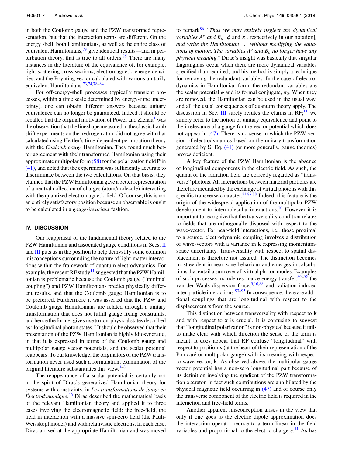in both the Coulomb gauge and the PZW transformed representation, but that the interaction terms are different. On the energy shell, both Hamiltonians, as well as the entire class of equivalent Hamiltonians,<sup>[73](#page-9-41)</sup> give identical results—and in perturbation theory, that is true to all orders. $85$  There are many instances in the literature of the equivalence of, for example, light scattering cross sections, electromagnetic energy densities, and the Poynting vector calculated with various unitarily equivalent Hamiltonians.[73,](#page-9-41)[74](#page-9-42)[,78](#page-9-45)[–84](#page-9-46)

For off-energy-shell processes (typically transient processes, within a time scale determined by energy-time uncertainty), one can obtain different answers because unitary equivalence can no longer be guaranteed. Indeed it should be recalled that the original motivation of Power and Zienau<sup>[1](#page-9-0)</sup> was the observation that the lineshape measured in the classic Lamb shift experiments on the hydrogen atom did not agree with that calculated using Heitler's time-dependent perturbation theory with the *Coulomb gauge* Hamiltonian. They found much better agreement with their transformed Hamiltonian using their approximate multipolar form [\(58\)](#page-6-3) for the polarization field **P** in [\(41\),](#page-5-4) and noted that the experiment was sufficiently accurate to discriminate between the two calculations. On that basis, they claimed that the PZW Hamiltonian gave a better representation of a neutral collection of charges (atom/molecule) interacting with the quantized electromagnetic field. Of course, this is not an entirely satisfactory position because an observable is ought to be calculated in a *gauge-invariant* fashion.

#### <span id="page-7-0"></span>**IV. DISCUSSION**

Our reappraisal of the fundamental theory related to the PZW Hamiltonian and associated gauge conditions in Secs. [II](#page-2-0) and [III](#page-5-0) puts us in the position to help demystify some common misconceptions surrounding the nature of light-matter interactions within the framework of quantum electrodynamics. For example, the recent RF study<sup>[11](#page-9-3)</sup> suggested that the PZW Hamiltonian is problematic because the Coulomb gauge ("minimal coupling") and PZW Hamiltonians predict physically different results, and that the Coulomb gauge Hamiltonian is to be preferred. Furthermore it was asserted that the PZW and Coulomb gauge Hamiltonians are related through a unitary transformation that does not fulfill gauge fixing constraints, and hence the former gives rise to non-physical states described as "longitudinal photon states." It should be observed that their presentation of the PZW Hamiltonian is highly idiosyncratic, in that it is expressed in terms of the Coulomb gauge and multipolar gauge vector potentials, and the scalar potential reappears. To our knowledge, the originators of the PZW transformation never used such a formulation; examination of the original literature substantiates this view. $1-3$  $1-3$ 

The reappearance of a scalar potential is certainly not in the spirit of Dirac's generalized Hamiltonian theory for systems with constraints; in *Les transformations de jauge en Electrodynamique ´* , [46](#page-9-14) Dirac described the mathematical basis of the relevant Hamiltonian theory and applied it to three cases involving the electromagnetic field: the free-field, the field in interaction with a massive spin-zero field (the Pauli-Weisskopf model) and with relativistic electrons. In each case, Dirac arrived at the appropriate Hamiltonian and was moved

to remark[86](#page-9-49) "*Thus we may entirely neglect the dynamical variables*  $A^o$  *and*  $B_o$  [ $\phi$  and  $\pi_0$  respectively in our notation], *and write the Hamiltonian* . . . *without modifying the equations of motion. The variables A<sup>o</sup> and B<sup>o</sup> no longer have any physical meaning*." Dirac's insight was basically that singular Lagrangians occur when there are more dynamical variables specified than required, and his method is simply a technique for removing the redundant variables. In the case of electrodynamics in Hamiltonian form, the redundant variables are the scalar potential  $\phi$  and its formal conjugate,  $\pi_0$ . When they are removed, the Hamiltonian can be used in the usual way, and all the usual consequences of quantum theory apply. The discussion in Sec. [III](#page-5-0) surely refutes the claims in  $RF;$ <sup>[11](#page-9-3)</sup> we simply refer to the notion of unitary equivalence and point to the irrelevance of a gauge for the vector potential which does not appear in [\(47\).](#page-5-1) There is no sense in which the PZW version of electrodynamics based on the unitary transformation generated by  $S$ , Eq.  $(41)$  (or more generally, gauge theories) proves deficient.

A key feature of the PZW Hamiltonian is the absence of longitudinal components in the electric field. As such, the quanta of the radiation field are correctly regarded as "transverse" photons. All interactions between material particles are therefore mediated by the exchange of virtual photons with this specific transverse character.<sup>[21,](#page-9-50)[87,](#page-10-0)[88](#page-10-1)</sup> Indeed, this feature is the origin of the widespread application of the multipolar PZW development to intermolecular interactions.<sup>[10](#page-9-1)</sup> However it is important to recognize that the transversality condition relates to fields that are orthogonally disposed with respect to the wave-vector. For near-field interactions, i.e., those proximal to a source, electrodynamic coupling involves a distribution of wave-vectors with a variance in **k** expressing momentumspace uncertainty. Transversality with respect to spatial displacement is therefore not assured. The distinction becomes most evident in near-zone behaviour and emerges in calculations that entail a sum over all virtual photon modes. Examples of such processes include resonance energy transfer,[89](#page-10-2)[–92](#page-10-3) the van der Waals dispersion force,<sup>[9](#page-9-39)[,10,](#page-9-1)[88](#page-10-1)</sup> and radiation-induced inter-particle interactions.  $93-95$  $93-95$  In consequence, there are additional couplings that are longitudinal with respect to the displacement **x** from the source.

This distinction between transversality with respect to **k** and with respect to **x** is crucial. It is confusing to suggest that "longitudinal polarization" is non-physical because it fails to make clear with which direction the sense of the term is meant. It does appear that RF confuse "longitudinal" with respect to position **x** (at the heart of their representation of the Poincaré or multipolar gauge) with its meaning with respect to wave-vector, **k**. As observed above, the multipolar gauge vector potential has a non-zero longitudinal part because of its definition involving the gradient of the PZW transformation operator. In fact such contributions are annihilated by the physical magnetic field occurring in [\(47\)](#page-5-1) and of course only the transverse component of the electric field is required in the interaction and free-field terms.

Another apparent misconception arises in the view that only if one goes to the electric dipole approximation does the interaction operator reduce to a term linear in the field variables and proportional to the electric charge  $e^{11}$  $e^{11}$  $e^{11}$ . As has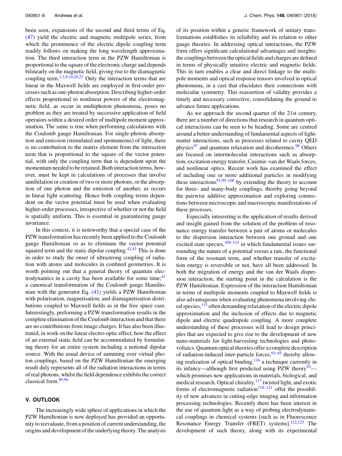been seen, expansions of the second and third terms of Eq. [\(47\)](#page-5-1) yield the electric and magnetic multipole series, from which the prominence of the electric dipole coupling term readily follows on making the long wavelength approximation. The third interaction term in the PZW Hamiltonian is proportional to the square of the electronic charge and depends bilinearly on the magnetic field, giving rise to the diamagnetic coupling term.<sup>[1,](#page-9-0)[3,](#page-9-24)[9](#page-9-39)[,10,](#page-9-1)[20](#page-9-51)[,21](#page-9-50)</sup> Only the interaction terms that are linear in the Maxwell fields are employed in first-order processes such as one-photon absorption. Describing higher-order effects proportional to nonlinear powers of the electromagnetic field, as occur in multiphoton phenomena, poses no problem as they are treated by successive application of field operators within a desired order of multipole moment approximation. The same is true when performing calculations with the Coulomb gauge Hamiltonian. For single-photon absorption and emission (stimulated and spontaneous) of light, there is no contribution to the matrix element from the interaction term that is proportional to the square of the vector potential, with only the coupling term that is dependent upon the momentum needed to be retained. Both interaction terms, however, must be kept in calculations of processes that involve annihilation or creation of two or more photons, or the absorption of one photon and the emission of another, as occurs in linear light scattering. Hence both coupling terms dependent on the vector potential must be used when evaluating higher-order processes, irrespective of whether or not the field is spatially uniform. This is essential in guaranteeing gauge invariance.

In this context, it is noteworthy that a special case of the PZW transformation has recently been applied to the Coulomb gauge Hamiltonian so as to eliminate the vector potential squared term and the static dipolar coupling. $42,43$  $42,43$  This is done in order to study the onset of ultrastrong coupling of radiation with atoms and molecules in confined geometries. It is worth pointing out that a general theory of quantum electrodynamics in a cavity has been available for some time;  $41$ a canonical transformation of the Coulomb gauge Hamiltonian with the generator Eq. [\(41\)](#page-5-4) yields a PZW Hamiltonian with polarisation, magnetisation, and diamagnetisation distributions coupled to Maxwell fields as in the free space case. Interestingly, performing a PZW transformation results in the complete elimination of the Coulomb interaction and that there are no contributions from image charges. It has also been illustrated, in work on the linear electro-optic effect, how the effect of an external static field can be accommodated by formulating theory for an entire system including a notional dipolar source. With the usual device of summing over virtual photon couplings, based on the PZW Hamiltonian the emerging result duly represents all of the radiation interactions in terms of real photons, whilst the field dependence exhibits the correct classical form.[89](#page-10-2)[,96](#page-10-6)

### <span id="page-8-0"></span>**V. OUTLOOK**

The increasingly wide sphere of applications in which the PZW Hamiltonian is now deployed has provided an opportunity to reevaluate, from a position of current understanding, the origins and development of the underlying theory. The analysis

of its position within a generic framework of unitary transformations establishes its reliability and its relation to other gauge theories. In addressing optical interactions, the PZW form offers significant calculational advantages and insights: the couplings between the optical fields and charges are defined in terms of physically intuitive electric and magnetic fields. This in turn enables a clear and direct linkage to the multipole moments and optical response tensors involved in optical phenomena, in a cast that elucidates their connections with molecular symmetry. This reassertion of validity provides a timely and necessary corrective, consolidating the ground to advance future applications.

As we approach the second quarter of the 21st century, there are a number of directions that research in quantum optical interactions can be seen to be heading. Some are centred around a better understanding of fundamental aspects of lightmatter interactions, such as processes related to cavity QED physics<sup>[97](#page-10-7)</sup> and quantum relaxation and decoherence.<sup>[98](#page-10-8)</sup> Others are focused on intermolecular interactions such as absorption, excitation energy transfer, Casimir–van der Waals forces, and nonlinear optics. Recent work has examined the effect of including one or more additional particles in modifying these interactions<sup>[91](#page-10-9)[,99](#page-10-10)[–108](#page-10-11)</sup> by extending the theory to account for three- and many-body couplings, thereby going beyond the pairwise additive approximation and exploring connections between microscopic and macroscopic manifestations of these processes.

Especially interesting is the application of results derived and insight gained from the solution of the problem of resonance energy transfer between a pair of atoms or molecules to the dispersion interaction between one ground and one excited state species, $109-114$  $109-114$  in which fundamental issues surrounding the nature of a potential versus a rate, the functional form of the resonant term, and whether transfer of excitation energy is reversible or not, have all been addressed. In both the migration of energy and the van der Waals dispersion interaction, the starting point in the calculation is the PZW Hamiltonian. Expression of the interaction Hamiltonian in terms of multipole moments coupled to Maxwell fields is also advantageous when evaluating phenomena involving chiral species,  $\frac{115}{1}$  $\frac{115}{1}$  $\frac{115}{1}$  often demanding relaxation of the electric dipole approximation and the inclusion of effects due to magnetic dipole and electric quadrupole coupling. A more complete understanding of these processes will lead to design principles that are expected to give rise to the development of new nano-materials for light-harvesting technologies and photovoltaics. Quantum optical theories offer a complete description of radiation-induced inter-particle forces,  $93-95$  $93-95$  thereby allowing realization of optical binding,[116](#page-10-15) a technique currently in its infancy—although first predicted using PZW theory<sup>[93](#page-10-4)</sup> which promises new applications in materials, biological, and medical research. Optical chirality, <sup>[117](#page-10-16)</sup> twisted light, and exotic forms of electromagnetic radiation<sup>[118–](#page-10-17)[121](#page-10-18)</sup> offer the possibility of new advances in cutting-edge imaging and information processing technologies. Recently there has been interest in the use of quantum light as a way of probing electrodynamical couplings in chemical systems [such as in Fluorescence Resonance Energy Transfer (FRET) systems].<sup>[122](#page-10-19)[,123](#page-10-20)</sup> The development of such theory, along with its experimental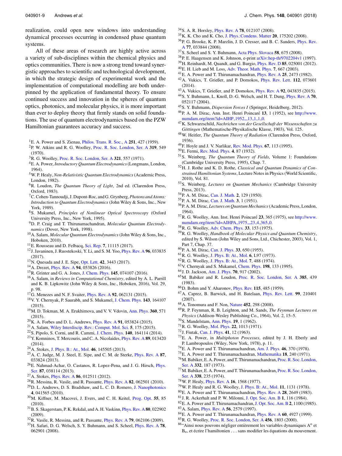realization, could open new windows into understanding dynamical processes occurring in condensed phase quantum systems.

<span id="page-9-11"></span><span id="page-9-10"></span><span id="page-9-9"></span><span id="page-9-8"></span><span id="page-9-7"></span><span id="page-9-6"></span><span id="page-9-5"></span>All of these areas of research are highly active across a variety of sub-disciplines within the chemical physics and optics communities. There is now a strong trend toward synergistic approaches to scientific and technological development, in which the strategic design of experimental work and the implementation of computational modelling are both underpinned by the application of fundamental theory. To ensure continued success and innovation in the spheres of quantum optics, photonics, and molecular physics, it is more important than ever to deploy theory that firmly stands on solid foundations. The use of quantum electrodynamics based on the PZW Hamiltonian guarantees accuracy and success.

- <span id="page-9-18"></span><span id="page-9-17"></span><span id="page-9-16"></span><span id="page-9-14"></span><span id="page-9-13"></span><span id="page-9-12"></span><span id="page-9-0"></span>E. A. Power and S. Zienau, [Philos. Trans. R. Soc., A](https://doi.org/10.1098/rsta.1959.0008) **251**, 427 (1959).
- <span id="page-9-2"></span>P. W. Atkins and R. G. Woolley, [Proc. R. Soc. London, Ser. A](https://doi.org/10.1098/rspa.1970.0192) **319**, 549 (1970).
- <span id="page-9-24"></span><span id="page-9-20"></span><span id="page-9-19"></span>R. G. Woolley, [Proc. R. Soc. London, Ser. A](https://doi.org/10.1098/rspa.1971.0049) **321**, 557 (1971).
- <span id="page-9-15"></span>E. A. Power, *Introductory Quantum Electrodynamics*(Longmans, London, 1964).
- <span id="page-9-37"></span>W. P. Healy, *Non-Relativistic Quantum Electrodynamics*(Academic Press, London, 1982).
- <span id="page-9-21"></span>R. Loudon, *The Quantum Theory of Light*, 2nd ed. (Clarendon Press, Oxford, 1983).
- <span id="page-9-38"></span><span id="page-9-23"></span><span id="page-9-22"></span>C. Cohen-Tannoudji, J. Dupont-Roc, and G. Grynberg,*Photons and Atoms: Introduction to Quantum Electrodynamics* (John Wiley & Sons, Inc., New York, 1989).
- <span id="page-9-25"></span>S. Mukamel, *Principles of Nonlinear Optical Spectroscopy* (Oxford University Press, Inc., New York, 1995).
- <span id="page-9-39"></span><span id="page-9-26"></span>D. P. Craig and T. Thirunamachandran, *Molecular Quantum Electrodynamics* (Dover, New York, 1998).
- <span id="page-9-1"></span>A. Salam, *Molecular Quantum Electrodynamics* (John Wiley & Sons, Inc., Hoboken, 2010).
- <span id="page-9-27"></span><span id="page-9-3"></span>E. Rousseau and D. Felbacq, [Sci. Rep.](https://doi.org/10.1038/s41598-017-11076-5) **7**, 11115 (2017).
- <span id="page-9-4"></span>J. Javaninen, J. Ruostekoski, Y. Li, and S. M. Yoo, [Phys. Rev. A](https://doi.org/10.1103/physreva.96.033835) **96**, 033835 (2017).
- <span id="page-9-28"></span>N. Quesada and J. E. Sipe, [Opt. Lett.](https://doi.org/10.1364/ol.42.003443) **42**, 3443 (2017).
- <span id="page-9-30"></span><span id="page-9-29"></span>A. Drezet, [Phys. Rev. A](https://doi.org/10.1103/physreva.94.053826) **94**, 053826 (2016).
- R. Grinter and G. A. Jones, [J. Chem. Phys.](https://doi.org/10.1063/1.4960732) **145**, 074107 (2016).
- <span id="page-9-31"></span>A. Salam, in *Reviews in Computational Chemistry*, edited by A. L. Parrill and K. B. Lipkowitz (John Wiley & Sons, Inc., Hoboken, 2016), Vol. 29,
- <span id="page-9-32"></span>p. 98. G. Menezes and N. F. Svaiter, [Phys. Rev. A](https://doi.org/10.1103/physreva.92.062131) **92**, 062131 (2015).
- <span id="page-9-33"></span>V. Y. Chernyak, P. Saurabh, and S. Mukamel, [J. Chem. Phys.](https://doi.org/10.1063/1.4934231) **143**, 164107 (2015).
- <span id="page-9-35"></span><span id="page-9-34"></span>M. D. Tokman, M. A. Erukhimova, and V. V. Vdovin, [Ann. Phys.](https://doi.org/10.1016/j.aop.2015.05.030) **360**, 571 (2015).
- <span id="page-9-51"></span>K. A. Forbes and D. L. Andrews, [Phys. Rev. A](https://doi.org/10.1103/physreva.91.053824) **91**, 053824 (2015).
- <span id="page-9-50"></span>A. Salam, [Wiley Interdiscip. Rev.: Comput. Mol. Sci.](https://doi.org/10.1002/wcms.1211) **5**, 175 (2015).
- <span id="page-9-41"></span><span id="page-9-40"></span><span id="page-9-36"></span>S. Pipolo, S. Corni, and R. Cammi, [J. Chem. Phys.](https://doi.org/10.1063/1.4871373) **140**, 164114 (2014).
- Y. Komninos, T. Mercouris, and C. A. Nicolaides, [Phys. Rev. A](https://doi.org/10.1103/physreva.89.013420) **89**, 013420  $(2014)$ .
- <span id="page-9-42"></span>A. Stokes, [J. Phys. B.: At., Mol.](https://doi.org/10.1088/0953-4075/46/14/145505) **46**, 145505 (2013).
- <span id="page-9-43"></span>A. C. Judge, M. J. Steel, E. Sipe, and C. M. de Sterke, [Phys. Rev. A](https://doi.org/10.1103/physreva.87.033824) **87**, 033824 (2013).
- <span id="page-9-44"></span>E. Nahmad-Achar, O. Castanos, R. Lopez-Pena, and J. G. Hirsch, [Phys.](https://doi.org/10.1088/0031-8949/87/03/038114) [Scr.](https://doi.org/10.1088/0031-8949/87/03/038114) **87**, 038114 (2013).
- A. Stokes, [Phys. Rev. A](https://doi.org/10.1103/physreva.86.029902) **86**, 012511 (2012).
- <span id="page-9-45"></span>R. Messina, R. Vasile, and R. Passante, [Phys. Rev. A](https://doi.org/10.1103/physreva.82.062501) **82**, 062501 (2010).
- <sup>29</sup>D. L. Andrews, D. S. Bradshaw, and L. C. D. Romero, [J. Nanophotonics](https://doi.org/10.1117/1.3332590) , 041565 (2010).
- <span id="page-9-47"></span>M. Kiffner, M. Macovei, J. Evers, and C. H. Keitel, [Prog. Opt.](https://doi.org/10.1016/b978-0-444-53705-8.00003-5) **55**, 85 (2010).
- B. S. Skagerstam, P. K. Rekdal, and A. H. Vaskinn, [Phys. Rev. A](https://doi.org/10.1103/physreva.80.022902) **80**, 022902 (2009).
- <span id="page-9-49"></span><span id="page-9-48"></span><span id="page-9-46"></span>R. Vasile, R. Messina, and R. Passante, [Phys. Rev. A](https://doi.org/10.1103/physreva.79.062106) **79**, 062106 (2009).
- H. Safari, D. G. Welsch, S. Y. Buhmann, and S. Scheel, [Phys. Rev. A](https://doi.org/10.1103/physreva.78.062901) **78**, 062901 (2008).
- 040901-9 Andrews *et al.* J. Chem. Phys. **148**, 040901 (2018)
	- S. A. R. Horsley, [Phys. Rev. A](https://doi.org/10.1103/physreva.78.012107) **78**, 012107 (2008).
	- K. K. Cho and K. Cho, [J. Phys.:Condens. Matter](https://doi.org/10.1088/0953-8984/20/17/175202) **20**, 175202 (2008).
	- P. G. Brooke, K. P. Marzlin, J. D. Cresser, and B. C. Sanders, [Phys. Rev.](https://doi.org/10.1103/physreva.77.033844) [A](https://doi.org/10.1103/physreva.77.033844) **77**, 033844 (2008).
	- S. Scheel and S. Y. Buhmann, [Acta Phys. Slovaca](https://doi.org/10.2478/v10155-010-0092-x) **58**, 675 (2008).
	- P. E. Haagensen and K. Johnson, e-print [arXiv:hep-th/9702204v1](http://arxiv.org/abs/hep-th/9702204v1) (1997).
	- H. Reinhardt, M. Quandt, and G. Burgio, [Phys. Rev. D](https://doi.org/10.1103/physrevd.85.025001) **85**, 025001 (2012).
	- E. H. Lieb and M. Loss, [Adv. Theor. Math. Phys.](https://doi.org/10.4310/atmp.2003.v7.n4.a3) **7**, 667 (2003).
	- E. A. Power and T. Thirunamachandran, [Phys. Rev. A](https://doi.org/10.1103/physreva.25.2473) **25**, 2473 (1982). A. Vukics, T. Grießer, and P. Domokos, [Phys. Rev. Lett.](https://doi.org/10.1103/physrevlett.112.073601) **112**, 073601  $(2014)$ .
	- A. Vukics, T. Grießer, and P. Domokos, [Phys. Rev. A](https://doi.org/10.1103/physreva.92.043835) **92**, 043835 (2015).
	- S. Y. Buhmann, L. Knoll, D.-G. Welsch, and H. T. Dung, [Phys. Rev. A](https://doi.org/10.1103/physreva.70.052117) **70**, 052117 (2004).
	- S. Y. Buhmann, *Dispersion Forces I* (Springer, Heidelberg, 2012).
	- P. A. M. Dirac, Ann. Inst. Henri Poincare´ **13**, 1 (1952), see [http://www.](http://www.numdam.org/item?id=AIHP_1952__13_1_1_0) [numdam.org/item?id=AIHP](http://www.numdam.org/item?id=AIHP_1952__13_1_1_0)\_1952\_13\_1\_1\_0.
	- K. Schwarzschild, *Nachrichen von der Gesellschaft der Wissenschaften zu Göttingen* (Mathematische-Physikalische Klasse, 1903), Vol. 125.
	- W. Heitler, *The Quantum Theory of Radiation* (Clarendon Press, Oxford, 1936).
	- F. Hoyle and J. V. Narlikar, [Rev. Mod. Phys.](https://doi.org/10.1103/revmodphys.67.113) **67**, 113 (1995).
	- E. Fermi, [Rev. Mod. Phys.](https://doi.org/10.1103/revmodphys.4.87) **4**, 87 (1932).
	- S. Weinberg, *The Quantum Theory of Fields*, Volume 1: Foundations (Cambridge University Press, 1995), Chap. 7.
	- H. J. Rothe and K. D. Rothe, *Classical and Quantum Dynamics of Constrained Hamiltonian Systems*, Lecture Notes in Physics (World Scientific, 2010), Vol. 81.
	- S. Weinberg, *Lectures on Quantum Mechanics* (Cambridge University Press, 2013).
	- P. A. M. Dirac, [Can. J. Math.](https://doi.org/10.4153/cjm-1950-012-1) **2**, 129 (1950).
	- P. A. M. Dirac, [Can. J. Math.](https://doi.org/10.4153/cjm-1951-001-2) **3**, 1 (1951).
	- P. A. M. Dirac, *Lectures on Quantum Mechanics*(Academic Press, London, 1964).
	- R. G. Woolley, Ann. Inst. Henri Poincare´ **23**, 365 (1975), see [http://www.](http://www.numdam.org/item?id=AIHPA_1975__23_4_365_0) [numdam.org/item?id=AIHPA](http://www.numdam.org/item?id=AIHPA_1975__23_4_365_0)\_1975\_23\_4\_365\_0.
	- R. G. Woolley, [Adv. Chem. Phys.](https://doi.org/10.1002/9780470142523.ch4) **33**, 153 (1975).
	- R. G. Woolley, *Handbook of Molecular Physics and Quantum Chemistry*, edited by S. Wilson (John Wiley and Sons, Ltd., Chichester, 2003), Vol. 1, Part 7, Chap. 37.
	- P. A. M. Dirac, [Can. J. Phys.](https://doi.org/10.1139/p55-081) **33**, 650 (1955).
	- R. G. Woolley, [J. Phys. B: At., Mol.](https://doi.org/10.1088/0022-3700/6/5/001) **6**, L97 (1973).
	- R. G. Woolley, [J. Phys. B: At., Mol.](https://doi.org/10.1088/0022-3700/7/4/023) **7**, 488 (1974).
	- V. Chernyak and S. Mukamel, [Chem. Phys.](https://doi.org/10.1016/0301-0104(95)00122-5) **198**, 133 (1995).
	- J. D. Jackson, [Am. J. Phys.](https://doi.org/10.1119/1.1491265) **70**, 917 (2002).
	- M. Babiker and R. Loudon, [Proc. R. Soc. London, Ser. A](https://doi.org/10.1098/rspa.1983.0022) **385**, 439 (1983).
	- D. Bohm and Y. Aharonov, [Phys. Rev.](https://doi.org/10.1103/physrev.115.485) **115**, 485 (1959).
	- A. Caprez, B. Barwick, and H. Batelaan, [Phys. Rev. Lett.](https://doi.org/10.1103/physrevlett.99.210401) **99**, 210401 (2007).
	- A. Tonomura and F. Non, [Nature](https://doi.org/10.1038/452298a) **452**, 298 (2008).
	- R. P. Feynman, R. B. Leighton, and M. Sands, *The Feynman Lectures on Physics* (Addison-Wesley Publishing Co., 1964), Vol. 2, 15–5.
	- S. Mandelstam, [Ann. Phys.](https://doi.org/10.1016/0003-4916(62)90232-4) **19**, 1 (1962).
	- R. G. Woolley, [Mol. Phys.](https://doi.org/10.1080/00268977100103331) **22**, 1013 (1971).
	- J. Fiutak, [Can. J. Phys.](https://doi.org/10.1139/p63-002) **41**, 12 (1963).
	- E. A. Power, in *Multiphoton Processes*, edited by J. H. Eberly and P. Lambropoulos (Wiley, New York, 1978), p. 11.
	- E. A. Power and T. Thirunamachandran, [Am. J. Phys.](https://doi.org/10.1119/1.11313) **46**, 370 (1978).
	- E. A. Power and T. Thirunamachandran, [Mathematika](https://doi.org/10.1112/s0025579300005490) **18**, 240 (1971).
	- M. Babiker, E. A. Power, and T. Thirunamachandran, [Proc. R. Soc. London,](https://doi.org/10.1098/rspa.1973.0020) [Ser. A](https://doi.org/10.1098/rspa.1973.0020) **332**, 187 (1973).
	- M. Babiker, E. A. Power, and T. Thirunamachandran, [Proc. R. Soc. London,](https://doi.org/10.1098/rspa.1974.0084) [Ser. A](https://doi.org/10.1098/rspa.1974.0084) **338**, 235 (1974).
	- W. P. Healy, [Phys. Rev. A](https://doi.org/10.1103/physreva.16.1568) **16**, 1568 (1977).
	- W. P. Healy and R. G. Woolley, [J. Phys. B: At., Mol.](https://doi.org/10.1088/0022-3700/11/7/013) **11**, 1131 (1978).
	- E. A. Power and T. Thirunamachandran, [Phys. Rev. A](https://doi.org/10.1103/physreva.28.2649) **28**, 2649 (1983).
	- J. R. Ackerhalt and P. W. Milonni, [J. Opt. Soc. Am. B](https://doi.org/10.1364/josab.1.000116) **1**, 116 (1984).
	- E. A. Power and T. Thirunamachandran,[J. Opt. Soc. Am. B](https://doi.org/10.1364/josab.2.001100) **2**, 1100 (1985).
	- A. Salam, [Phys. Rev. A](https://doi.org/10.1103/physreva.56.2579) **56**, 2579 (1997).
	- E. A. Power and T. Thirunamachandran, [Phys. Rev. A](https://doi.org/10.1103/physreva.60.4927) **60**, 4927 (1999).
	- R. G. Woolley, [Proc. R. Soc. London, Ser. A](https://doi.org/10.1098/rspa.2000.0587) **456**, 1803 (2000).
	- "Ainsi nous pouvons négliger entièrement les variables dynamiques  $A^{\circ}$  et  $B_0$ , et écrire l'hamiltonien  $\ldots$  sans modifier les équations du mouvement.